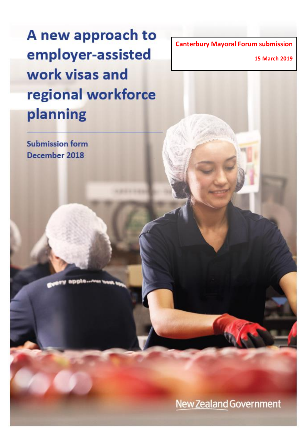A new approach to employer-assisted work visas and regional workforce planning

**Canterbury Mayoral Forum submission**

**15 March 2019**

**Submission form** December 2018

**New Zealand Government**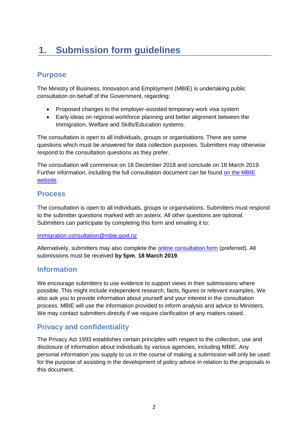# **1. Submission form guidelines**

## **Purpose**

The Ministry of Business, Innovation and Employment (MBIE) is undertaking public consultation on behalf of the Government, regarding:

- Proposed changes to the employer-assisted temporary work visa system
- Early ideas on regional workforce planning and better alignment between the Immigration, Welfare and Skills/Education systems.

The consultation is open to all individuals, groups or organisations. There are some questions which must be answered for data collection purposes. Submitters may otherwise respond to the consultation questions as they prefer.

The consultation will commence on 18 December 2018 and conclude on 18 March 2019. Further information, including the full consultation document can be found [on the MBIE](https://www.mbie.govt.nz/TempWorkVisaConsultation)  [website.](https://www.mbie.govt.nz/TempWorkVisaConsultation)

### **Process**

The consultation is open to all individuals, groups or organisations. Submitters must respond to the submitter questions marked with an asterix. All other questions are optional. Submitters can participate by completing this form and emailing it to:

### [immigration-consultation@mbie.govt.nz](mailto:immigration-consultation@mbie.govt.nz)

Alternatively, submitters may also complete the [online consultation form](https://www.surveymonkey.com/r/TempWorkVisaConsultation) (preferred). All submissions must be received **by 5pm**, **18 March 2019**.

### **Information**

We encourage submitters to use evidence to support views in their submissions where possible. This might include independent research, facts, figures or relevant examples. We also ask you to provide information about yourself and your interest in the consultation process. MBIE will use the information provided to inform analysis and advice to Ministers. We may contact submitters directly if we require clarification of any matters raised.

### **Privacy and confidentiality**

The Privacy Act 1993 establishes certain principles with respect to the collection, use and disclosure of information about individuals by various agencies, including MBIE. Any personal information you supply to us in the course of making a submission will only be used for the purpose of assisting in the development of policy advice in relation to the proposals in this document.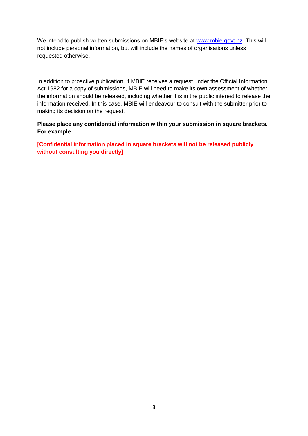We intend to publish written submissions on MBIE's website at [www.mbie.govt.nz.](http://www.mbie.govt.nz/) This will not include personal information, but will include the names of organisations unless requested otherwise.

In addition to proactive publication, if MBIE receives a request under the Official Information Act 1982 for a copy of submissions, MBIE will need to make its own assessment of whether the information should be released, including whether it is in the public interest to release the information received. In this case, MBIE will endeavour to consult with the submitter prior to making its decision on the request.

**Please place any confidential information within your submission in square brackets. For example:**

**[Confidential information placed in square brackets will not be released publicly without consulting you directly]**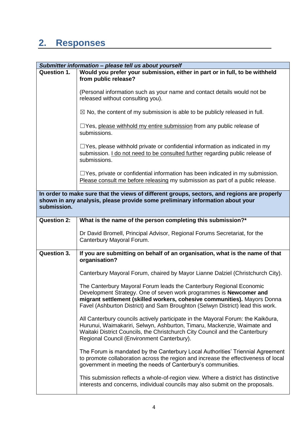## **2. Responses**

| Submitter information - please tell us about yourself |                                                                                                                                                                                                                                                                                                         |  |
|-------------------------------------------------------|---------------------------------------------------------------------------------------------------------------------------------------------------------------------------------------------------------------------------------------------------------------------------------------------------------|--|
| <b>Question 1.</b>                                    | Would you prefer your submission, either in part or in full, to be withheld<br>from public release?                                                                                                                                                                                                     |  |
|                                                       | (Personal information such as your name and contact details would not be<br>released without consulting you).                                                                                                                                                                                           |  |
|                                                       | $\boxtimes$ No, the content of my submission is able to be publicly released in full.                                                                                                                                                                                                                   |  |
|                                                       | $\Box$ Yes, please withhold my entire submission from any public release of<br>submissions.                                                                                                                                                                                                             |  |
|                                                       | $\Box$ Yes, please withhold private or confidential information as indicated in my<br>submission. I do not need to be consulted further regarding public release of<br>submissions.                                                                                                                     |  |
|                                                       | $\Box$ Yes, private or confidential information has been indicated in my submission.<br>Please consult me before releasing my submission as part of a public release.                                                                                                                                   |  |
| submission.                                           | In order to make sure that the views of different groups, sectors, and regions are properly<br>shown in any analysis, please provide some preliminary information about your                                                                                                                            |  |
| <b>Question 2:</b>                                    | What is the name of the person completing this submission?*                                                                                                                                                                                                                                             |  |
|                                                       | Dr David Bromell, Principal Advisor, Regional Forums Secretariat, for the<br>Canterbury Mayoral Forum.                                                                                                                                                                                                  |  |
| <b>Question 3.</b>                                    | If you are submitting on behalf of an organisation, what is the name of that<br>organisation?                                                                                                                                                                                                           |  |
|                                                       | Canterbury Mayoral Forum, chaired by Mayor Lianne Dalziel (Christchurch City).                                                                                                                                                                                                                          |  |
|                                                       | The Canterbury Mayoral Forum leads the Canterbury Regional Economic<br>Development Strategy. One of seven work programmes is Newcomer and<br>migrant settlement (skilled workers, cohesive communities). Mayors Donna<br>Favel (Ashburton District) and Sam Broughton (Selwyn District) lead this work. |  |
|                                                       | All Canterbury councils actively participate in the Mayoral Forum: the Kaikōura,<br>Hurunui, Waimakariri, Selwyn, Ashburton, Timaru, Mackenzie, Waimate and<br>Waitaki District Councils, the Christchurch City Council and the Canterbury<br>Regional Council (Environment Canterbury).                |  |
|                                                       | The Forum is mandated by the Canterbury Local Authorities' Triennial Agreement<br>to promote collaboration across the region and increase the effectiveness of local<br>government in meeting the needs of Canterbury's communities.                                                                    |  |
|                                                       | This submission reflects a whole-of-region view. Where a district has distinctive<br>interests and concerns, individual councils may also submit on the proposals.                                                                                                                                      |  |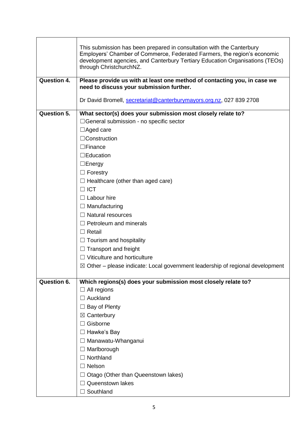|                    | This submission has been prepared in consultation with the Canterbury<br>Employers' Chamber of Commerce, Federated Farmers, the region's economic<br>development agencies, and Canterbury Tertiary Education Organisations (TEOs)<br>through ChristchurchNZ. |
|--------------------|--------------------------------------------------------------------------------------------------------------------------------------------------------------------------------------------------------------------------------------------------------------|
| <b>Question 4.</b> | Please provide us with at least one method of contacting you, in case we<br>need to discuss your submission further.                                                                                                                                         |
|                    |                                                                                                                                                                                                                                                              |
|                    | Dr David Bromell, secretariat@canterburymayors.org.nz, 027 839 2708                                                                                                                                                                                          |
| <b>Question 5.</b> | What sector(s) does your submission most closely relate to?                                                                                                                                                                                                  |
|                    | □General submission - no specific sector                                                                                                                                                                                                                     |
|                    | $\Box$ Aged care                                                                                                                                                                                                                                             |
|                    | □Construction                                                                                                                                                                                                                                                |
|                    | $\Box$ Finance                                                                                                                                                                                                                                               |
|                    | $\Box$ Education                                                                                                                                                                                                                                             |
|                    | $\Box$ Energy                                                                                                                                                                                                                                                |
|                    | $\Box$ Forestry                                                                                                                                                                                                                                              |
|                    | $\Box$ Healthcare (other than aged care)                                                                                                                                                                                                                     |
|                    | $\Box$ ICT                                                                                                                                                                                                                                                   |
|                    | $\Box$ Labour hire                                                                                                                                                                                                                                           |
|                    | $\Box$ Manufacturing                                                                                                                                                                                                                                         |
|                    | $\Box$ Natural resources                                                                                                                                                                                                                                     |
|                    | $\Box$ Petroleum and minerals                                                                                                                                                                                                                                |
|                    | $\Box$ Retail                                                                                                                                                                                                                                                |
|                    | $\Box$ Tourism and hospitality                                                                                                                                                                                                                               |
|                    | Transport and freight                                                                                                                                                                                                                                        |
|                    | Viticulture and horticulture                                                                                                                                                                                                                                 |
|                    | $\boxtimes$ Other – please indicate: Local government leadership of regional development                                                                                                                                                                     |
| <b>Question 6.</b> |                                                                                                                                                                                                                                                              |
|                    | Which regions(s) does your submission most closely relate to?<br>All regions<br>⊔                                                                                                                                                                            |
|                    | Auckland                                                                                                                                                                                                                                                     |
|                    | $\Box$ Bay of Plenty                                                                                                                                                                                                                                         |
|                    | $\boxtimes$ Canterbury                                                                                                                                                                                                                                       |
|                    | Gisborne                                                                                                                                                                                                                                                     |
|                    | Hawke's Bay                                                                                                                                                                                                                                                  |
|                    | $\Box$ Manawatu-Whanganui                                                                                                                                                                                                                                    |
|                    | $\Box$ Marlborough                                                                                                                                                                                                                                           |
|                    | Northland                                                                                                                                                                                                                                                    |
|                    | Nelson                                                                                                                                                                                                                                                       |
|                    | Otago (Other than Queenstown lakes)                                                                                                                                                                                                                          |
|                    | Queenstown lakes                                                                                                                                                                                                                                             |
|                    | $\Box$ Southland                                                                                                                                                                                                                                             |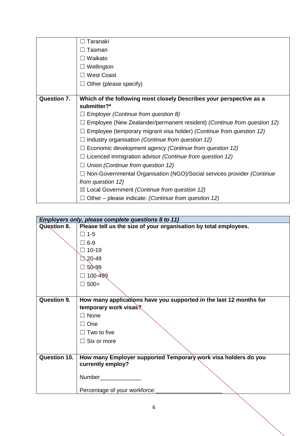|                    | Taranaki                                                                |
|--------------------|-------------------------------------------------------------------------|
|                    | Tasman                                                                  |
|                    | Waikato                                                                 |
|                    | Wellington                                                              |
|                    | <b>West Coast</b>                                                       |
|                    | Other (please specify)                                                  |
|                    |                                                                         |
| <b>Question 7.</b> | Which of the following most closely Describes your perspective as a     |
|                    | submitter?*                                                             |
|                    | Employer (Continue from question 8)                                     |
|                    | Employee (New Zealander/permanent resident) (Continue from question 12) |
|                    | Employee (temporary migrant visa holder) (Continue from question 12)    |
|                    | Industry organisation (Continue from question 12)                       |
|                    | Economic development agency (Continue from question 12)                 |
|                    | Licenced immigration advisor (Continue from question 12)                |
|                    | Union (Continue from question 12)                                       |
|                    | Non-Governmental Organisation (NGO)/Social services provider (Continue  |
|                    | from question 12)                                                       |
|                    | $\boxtimes$ Local Government (Continue from question 12)                |
|                    | Other – please indicate: (Continue from question 12)                    |

| <b>Employers only, please complete questions 8 to 11)</b> |                                                                    |
|-----------------------------------------------------------|--------------------------------------------------------------------|
| Question 8.                                               | Please tell us the size of your organisation by total employees.   |
|                                                           | $\Box$ 1-5                                                         |
|                                                           | $\square$ 6-9                                                      |
|                                                           | $\Box$ 10-19                                                       |
|                                                           | 120-49                                                             |
|                                                           | $\Box$ 50-99                                                       |
|                                                           | 100-499                                                            |
|                                                           | $\Box$ 500+                                                        |
|                                                           |                                                                    |
| <b>Question 9.</b>                                        | How many applications have you supported in the last 12 months for |
|                                                           | temporary work visas?                                              |
|                                                           | $\Box$ None                                                        |
|                                                           | □ One                                                              |
|                                                           | $\Box$ Two to five                                                 |
|                                                           | $\Box$ Six or more                                                 |
|                                                           |                                                                    |
| <b>Question 10.</b>                                       | How many Employer supported Temporary work visa holders do you     |
|                                                           | currently employ?                                                  |
|                                                           |                                                                    |
|                                                           |                                                                    |
|                                                           | Percentage of your workforce:                                      |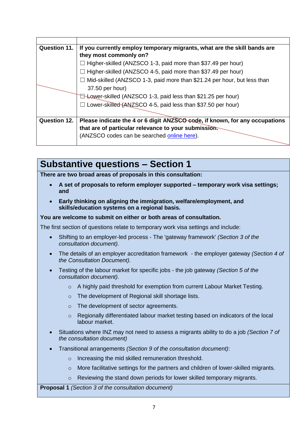| <b>Question 11.</b> | If you currently employ temporary migrants, what are the skill bands are    |  |
|---------------------|-----------------------------------------------------------------------------|--|
|                     | they most commonly on?                                                      |  |
|                     | $\Box$ Higher-skilled (ANZSCO 1-3, paid more than \$37.49 per hour)         |  |
|                     | $\Box$ Higher-skilled (ANZSCO 4-5, paid more than \$37.49 per hour)         |  |
|                     | Mid-skilled (ANZSCO 1-3, paid more than \$21.24 per hour, but less than     |  |
|                     | 37.50 per hour)                                                             |  |
|                     | <b>E-Lower-skilled (ANZSCO 1-3, paid less than \$21.25 per hour)</b>        |  |
|                     | Lower-skilled (ANZSCO 4-5, paid less than \$37.50 per hour)                 |  |
|                     |                                                                             |  |
| <b>Question 12.</b> | Please indicate the 4 or 6 digit ANZSCO-code, if known, for any occupations |  |
|                     | that are of particular relevance to your submission.                        |  |
|                     | (ANZSCO codes can be searched online here).                                 |  |
|                     |                                                                             |  |

## **Substantive questions – Section 1**

**There are two broad areas of proposals in this consultation:**

- **A set of proposals to reform employer supported – temporary work visa settings; and**
- **Early thinking on aligning the immigration, welfare/employment, and skills/education systems on a regional basis.**

#### **You are welcome to submit on either or both areas of consultation.**

The first section of questions relate to temporary work visa settings and include:

- Shifting to an employer-led process The 'gateway framework' *(Section 3 of the consultation document).*
- The details of an employer accreditation framework the employer gateway *(Section 4 of the Consultation Document).*
- Testing of the labour market for specific jobs the job gateway *(Section 5 of the consultation document)*.
	- $\circ$  A highly paid threshold for exemption from current Labour Market Testing.
	- o The development of Regional skill shortage lists.
	- o The development of sector agreements.
	- $\circ$  Regionally differentiated labour market testing based on indicators of the local labour market.
- Situations where INZ may not need to assess a migrants ability to do a job *(Section 7 of the consultation document)*
- Transitional arrangements *(Section 9 of the consultation document)*:
	- o Increasing the mid skilled remuneration threshold.
	- o More facilitative settings for the partners and children of lower-skilled migrants.
	- o Reviewing the stand down periods for lower skilled temporary migrants.

**Proposal 1** *(Section 3 of the consultation document)*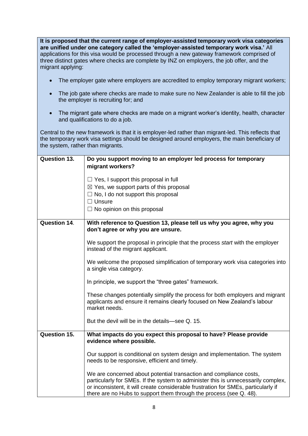**It is proposed that the current range of employer-assisted temporary work visa categories are unified under one category called the 'employer-assisted temporary work visa.'** All applications for this visa would be processed through a new gateway framework comprised of three distinct gates where checks are complete by INZ on employers, the job offer, and the migrant applying:

- The employer gate where employers are accredited to employ temporary migrant workers;
- The job gate where checks are made to make sure no New Zealander is able to fill the job the employer is recruiting for; and
- The migrant gate where checks are made on a migrant worker's identity, health, character and qualifications to do a job.

Central to the new framework is that it is employer-led rather than migrant-led. This reflects that the temporary work visa settings should be designed around employers, the main beneficiary of the system, rather than migrants.

| <b>Question 13.</b> | Do you support moving to an employer led process for temporary<br>migrant workers?                                                                                                                                                                                                                                  |
|---------------------|---------------------------------------------------------------------------------------------------------------------------------------------------------------------------------------------------------------------------------------------------------------------------------------------------------------------|
|                     | $\Box$ Yes, I support this proposal in full<br>$\boxtimes$ Yes, we support parts of this proposal<br>$\Box$ No, I do not support this proposal<br>$\Box$ Unsure<br>$\Box$ No opinion on this proposal                                                                                                               |
| <b>Question 14.</b> | With reference to Question 13, please tell us why you agree, why you<br>don't agree or why you are unsure.                                                                                                                                                                                                          |
|                     | We support the proposal in principle that the process start with the employer<br>instead of the migrant applicant.                                                                                                                                                                                                  |
|                     | We welcome the proposed simplification of temporary work visa categories into<br>a single visa category.                                                                                                                                                                                                            |
|                     | In principle, we support the "three gates" framework.                                                                                                                                                                                                                                                               |
|                     | These changes potentially simplify the process for both employers and migrant<br>applicants and ensure it remains clearly focused on New Zealand's labour<br>market needs.                                                                                                                                          |
|                     | But the devil will be in the details—see Q. 15.                                                                                                                                                                                                                                                                     |
| <b>Question 15.</b> | What impacts do you expect this proposal to have? Please provide<br>evidence where possible.                                                                                                                                                                                                                        |
|                     | Our support is conditional on system design and implementation. The system<br>needs to be responsive, efficient and timely.                                                                                                                                                                                         |
|                     | We are concerned about potential transaction and compliance costs,<br>particularly for SMEs. If the system to administer this is unnecessarily complex,<br>or inconsistent, it will create considerable frustration for SMEs, particularly if<br>there are no Hubs to support them through the process (see Q. 48). |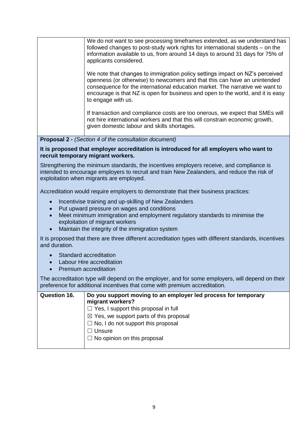We do not want to see processing timeframes extended, as we understand has followed changes to post-study work rights for international students – on the information available to us, from around 14 days to around 31 days for 75% of applicants considered.

We note that changes to immigration policy settings impact on NZ's perceived openness (or otherwise) to newcomers and that this can have an unintended consequence for the international education market. The narrative we want to encourage is that NZ is open for business and open to the world, and it is easy to engage with us.

If transaction and compliance costs are too onerous, we expect that SMEs will not hire international workers and that this will constrain economic growth, given domestic labour and skills shortages.

**Proposal 2 -** *(Section 4 of the consultation document)*

#### **It is proposed that employer accreditation is introduced for all employers who want to recruit temporary migrant workers.**

Strengthening the minimum standards, the incentives employers receive, and compliance is intended to encourage employers to recruit and train New Zealanders, and reduce the risk of exploitation when migrants are employed.

Accreditation would require employers to demonstrate that their business practices:

- Incentivise training and up-skilling of New Zealanders
- Put upward pressure on wages and conditions
- Meet minimum immigration and employment regulatory standards to minimise the exploitation of migrant workers
- Maintain the integrity of the immigration system

It is proposed that there are three different accreditation types with different standards, incentives and duration.

- Standard accreditation
- Labour Hire accreditation
- Premium accreditation

The accreditation type will depend on the employer, and for some employers, will depend on their preference for additional incentives that come with premium accreditation.

| <b>Question 16.</b> | Do you support moving to an employer led process for temporary<br>migrant workers? |
|---------------------|------------------------------------------------------------------------------------|
|                     | $\Box$ Yes, I support this proposal in full                                        |
|                     | $\boxtimes$ Yes, we support parts of this proposal                                 |
|                     | $\Box$ No, I do not support this proposal                                          |
|                     | Unsure                                                                             |
|                     | $\Box$ No opinion on this proposal                                                 |
|                     |                                                                                    |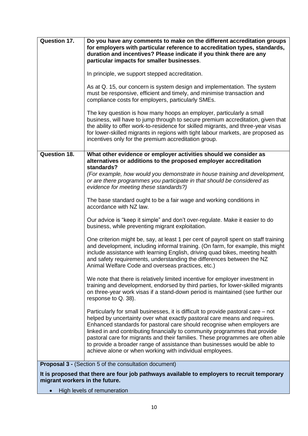| <b>Question 17.</b>            | Do you have any comments to make on the different accreditation groups<br>for employers with particular reference to accreditation types, standards,<br>duration and incentives? Please indicate if you think there are any<br>particular impacts for smaller businesses.                                                                                                                                                                                                                                                                            |
|--------------------------------|------------------------------------------------------------------------------------------------------------------------------------------------------------------------------------------------------------------------------------------------------------------------------------------------------------------------------------------------------------------------------------------------------------------------------------------------------------------------------------------------------------------------------------------------------|
|                                | In principle, we support stepped accreditation.                                                                                                                                                                                                                                                                                                                                                                                                                                                                                                      |
|                                | As at Q. 15, our concern is system design and implementation. The system<br>must be responsive, efficient and timely, and minimise transaction and<br>compliance costs for employers, particularly SMEs.                                                                                                                                                                                                                                                                                                                                             |
|                                | The key question is how many hoops an employer, particularly a small<br>business, will have to jump through to secure premium accreditation, given that<br>the ability to offer work-to-residence for skilled migrants, and three-year visas<br>for lower-skilled migrants in regions with tight labour markets, are proposed as<br>incentives only for the premium accreditation group.                                                                                                                                                             |
| <b>Question 18.</b>            | What other evidence or employer activities should we consider as<br>alternatives or additions to the proposed employer accreditation                                                                                                                                                                                                                                                                                                                                                                                                                 |
|                                | standards?<br>(For example, how would you demonstrate in house training and development,<br>or are there programmes you participate in that should be considered as<br>evidence for meeting these standards?)                                                                                                                                                                                                                                                                                                                                        |
|                                | The base standard ought to be a fair wage and working conditions in<br>accordance with NZ law.                                                                                                                                                                                                                                                                                                                                                                                                                                                       |
|                                | Our advice is "keep it simple" and don't over-regulate. Make it easier to do<br>business, while preventing migrant exploitation.                                                                                                                                                                                                                                                                                                                                                                                                                     |
|                                | One criterion might be, say, at least 1 per cent of payroll spent on staff training<br>and development, including informal training. (On farm, for example, this might<br>include assistance with learning English, driving quad bikes, meeting health<br>and safety requirements, understanding the differences between the NZ<br>Animal Welfare Code and overseas practices, etc.)                                                                                                                                                                 |
|                                | We note that there is relatively limited incentive for employer investment in<br>training and development, endorsed by third parties, for lower-skilled migrants<br>on three-year work visas if a stand-down period is maintained (see further our<br>response to Q. 38).                                                                                                                                                                                                                                                                            |
|                                | Particularly for small businesses, it is difficult to provide pastoral care – not<br>helped by uncertainty over what exactly pastoral care means and requires.<br>Enhanced standards for pastoral care should recognise when employers are<br>linked in and contributing financially to community programmes that provide<br>pastoral care for migrants and their families. These programmes are often able<br>to provide a broader range of assistance than businesses would be able to<br>achieve alone or when working with individual employees. |
|                                | <b>Proposal 3 - (Section 5 of the consultation document)</b>                                                                                                                                                                                                                                                                                                                                                                                                                                                                                         |
| migrant workers in the future. | It is proposed that there are four job pathways available to employers to recruit temporary                                                                                                                                                                                                                                                                                                                                                                                                                                                          |
|                                | High levels of remuneration                                                                                                                                                                                                                                                                                                                                                                                                                                                                                                                          |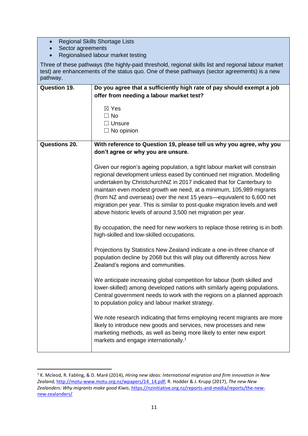- Regional Skills Shortage Lists
- Sector agreements

1

• Regionalised labour market testing

Three of these pathways (the highly-paid threshold, regional skills list and regional labour market test) are enhancements of the status quo. One of these pathways (sector agreements) is a new pathway.

| <b>Question 19.</b>  | Do you agree that a sufficiently high rate of pay should exempt a job                                                                                                                                                                                                                                                                                                                                                                                                                                                          |  |
|----------------------|--------------------------------------------------------------------------------------------------------------------------------------------------------------------------------------------------------------------------------------------------------------------------------------------------------------------------------------------------------------------------------------------------------------------------------------------------------------------------------------------------------------------------------|--|
|                      | offer from needing a labour market test?                                                                                                                                                                                                                                                                                                                                                                                                                                                                                       |  |
|                      |                                                                                                                                                                                                                                                                                                                                                                                                                                                                                                                                |  |
|                      | $\boxtimes$ Yes<br>$\Box$ No                                                                                                                                                                                                                                                                                                                                                                                                                                                                                                   |  |
|                      | $\Box$ Unsure                                                                                                                                                                                                                                                                                                                                                                                                                                                                                                                  |  |
|                      | $\Box$ No opinion                                                                                                                                                                                                                                                                                                                                                                                                                                                                                                              |  |
|                      |                                                                                                                                                                                                                                                                                                                                                                                                                                                                                                                                |  |
| <b>Questions 20.</b> | With reference to Question 19, please tell us why you agree, why you                                                                                                                                                                                                                                                                                                                                                                                                                                                           |  |
|                      | don't agree or why you are unsure.                                                                                                                                                                                                                                                                                                                                                                                                                                                                                             |  |
|                      |                                                                                                                                                                                                                                                                                                                                                                                                                                                                                                                                |  |
|                      | Given our region's ageing population, a tight labour market will constrain<br>regional development unless eased by continued net migration. Modelling<br>undertaken by ChristchurchNZ in 2017 indicated that for Canterbury to<br>maintain even modest growth we need, at a minimum, 105,989 migrants<br>(from NZ and overseas) over the next 15 years—equivalent to 6,600 net<br>migration per year. This is similar to post-quake migration levels and well<br>above historic levels of around 3,500 net migration per year. |  |
|                      | By occupation, the need for new workers to replace those retiring is in both<br>high-skilled and low-skilled occupations.                                                                                                                                                                                                                                                                                                                                                                                                      |  |
|                      | Projections by Statistics New Zealand indicate a one-in-three chance of<br>population decline by 2068 but this will play out differently across New<br>Zealand's regions and communities.                                                                                                                                                                                                                                                                                                                                      |  |
|                      | We anticipate increasing global competition for labour (both skilled and<br>lower-skilled) among developed nations with similarly ageing populations.<br>Central government needs to work with the regions on a planned approach<br>to population policy and labour market strategy.                                                                                                                                                                                                                                           |  |
|                      | We note research indicating that firms employing recent migrants are more<br>likely to introduce new goods and services, new processes and new<br>marketing methods, as well as being more likely to enter new export<br>markets and engage internationally. <sup>1</sup>                                                                                                                                                                                                                                                      |  |

<sup>1</sup> K. Mcleod, R. Fabling, & D. Maré (2014), *Hiring new ideas: International migration and firm innovation in New Zealand,* [http://motu-www.motu.org.nz/wpapers/14\\_14.pdf;](http://motu-www.motu.org.nz/wpapers/14_14.pdf) R. Hodder & J. Krupp (2017), *The new New Zealanders: Why migrants make good Kiwis*[, https://nzinitiative.org.nz/reports-and-media/reports/the-new](https://nzinitiative.org.nz/reports-and-media/reports/the-new-new-zealanders/)[new-zealanders/](https://nzinitiative.org.nz/reports-and-media/reports/the-new-new-zealanders/)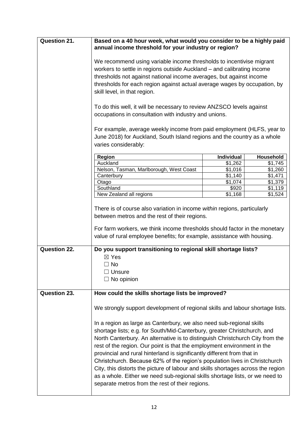| <b>Question 21.</b> | Based on a 40 hour week, what would you consider to be a highly paid<br>annual income threshold for your industry or region?                                                                                                                                                                                                                                                                                                                                                                                                                                                                                                                                                                 |                     |           |
|---------------------|----------------------------------------------------------------------------------------------------------------------------------------------------------------------------------------------------------------------------------------------------------------------------------------------------------------------------------------------------------------------------------------------------------------------------------------------------------------------------------------------------------------------------------------------------------------------------------------------------------------------------------------------------------------------------------------------|---------------------|-----------|
|                     | We recommend using variable income thresholds to incentivise migrant<br>workers to settle in regions outside Auckland – and calibrating income<br>thresholds not against national income averages, but against income<br>thresholds for each region against actual average wages by occupation, by<br>skill level, in that region.                                                                                                                                                                                                                                                                                                                                                           |                     |           |
|                     | To do this well, it will be necessary to review ANZSCO levels against<br>occupations in consultation with industry and unions.                                                                                                                                                                                                                                                                                                                                                                                                                                                                                                                                                               |                     |           |
|                     | For example, average weekly income from paid employment (HLFS, year to<br>June 2018) for Auckland, South Island regions and the country as a whole<br>varies considerably:                                                                                                                                                                                                                                                                                                                                                                                                                                                                                                                   |                     |           |
|                     | Region                                                                                                                                                                                                                                                                                                                                                                                                                                                                                                                                                                                                                                                                                       | <b>Individual</b>   | Household |
|                     | Auckland                                                                                                                                                                                                                                                                                                                                                                                                                                                                                                                                                                                                                                                                                     | $\overline{$1,262}$ | \$1,745   |
|                     | Nelson, Tasman, Marlborough, West Coast                                                                                                                                                                                                                                                                                                                                                                                                                                                                                                                                                                                                                                                      | \$1,016             | \$1,260   |
|                     | Canterbury                                                                                                                                                                                                                                                                                                                                                                                                                                                                                                                                                                                                                                                                                   | \$1,140             | \$1,471   |
|                     | Otago                                                                                                                                                                                                                                                                                                                                                                                                                                                                                                                                                                                                                                                                                        | \$1,074             | \$1,379   |
|                     | Southland                                                                                                                                                                                                                                                                                                                                                                                                                                                                                                                                                                                                                                                                                    | \$920               | \$1,119   |
|                     | New Zealand all regions                                                                                                                                                                                                                                                                                                                                                                                                                                                                                                                                                                                                                                                                      | \$1,168             | \$1,524   |
|                     | between metros and the rest of their regions.<br>For farm workers, we think income thresholds should factor in the monetary<br>value of rural employee benefits; for example, assistance with housing.                                                                                                                                                                                                                                                                                                                                                                                                                                                                                       |                     |           |
| <b>Question 22.</b> | Do you support transitioning to regional skill shortage lists?                                                                                                                                                                                                                                                                                                                                                                                                                                                                                                                                                                                                                               |                     |           |
|                     | $\boxtimes$ Yes                                                                                                                                                                                                                                                                                                                                                                                                                                                                                                                                                                                                                                                                              |                     |           |
|                     | $\Box$ No                                                                                                                                                                                                                                                                                                                                                                                                                                                                                                                                                                                                                                                                                    |                     |           |
|                     | $\Box$ Unsure                                                                                                                                                                                                                                                                                                                                                                                                                                                                                                                                                                                                                                                                                |                     |           |
|                     | $\Box$ No opinion                                                                                                                                                                                                                                                                                                                                                                                                                                                                                                                                                                                                                                                                            |                     |           |
|                     |                                                                                                                                                                                                                                                                                                                                                                                                                                                                                                                                                                                                                                                                                              |                     |           |
| <b>Question 23.</b> | How could the skills shortage lists be improved?                                                                                                                                                                                                                                                                                                                                                                                                                                                                                                                                                                                                                                             |                     |           |
|                     | We strongly support development of regional skills and labour shortage lists.                                                                                                                                                                                                                                                                                                                                                                                                                                                                                                                                                                                                                |                     |           |
|                     | In a region as large as Canterbury, we also need sub-regional skills<br>shortage lists; e.g. for South/Mid-Canterbury, greater Christchurch, and<br>North Canterbury. An alternative is to distinguish Christchurch City from the<br>rest of the region. Our point is that the employment environment in the<br>provincial and rural hinterland is significantly different from that in<br>Christchurch. Because 62% of the region's population lives in Christchurch<br>City, this distorts the picture of labour and skills shortages across the region<br>as a whole. Either we need sub-regional skills shortage lists, or we need to<br>separate metros from the rest of their regions. |                     |           |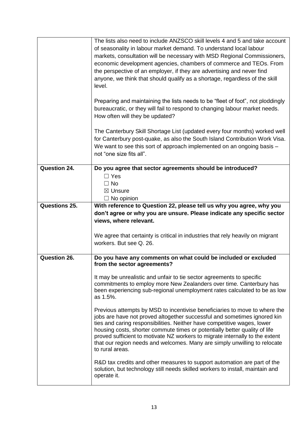|               | The lists also need to include ANZSCO skill levels 4 and 5 and take account<br>of seasonality in labour market demand. To understand local labour<br>markets, consultation will be necessary with MSD Regional Commissioners,<br>economic development agencies, chambers of commerce and TEOs. From<br>the perspective of an employer, if they are advertising and never find<br>anyone, we think that should qualify as a shortage, regardless of the skill<br>level.<br>Preparing and maintaining the lists needs to be "fleet of foot", not ploddingly<br>bureaucratic, or they will fail to respond to changing labour market needs.<br>How often will they be updated?<br>The Canterbury Skill Shortage List (updated every four months) worked well<br>for Canterbury post-quake, as also the South Island Contribution Work Visa.<br>We want to see this sort of approach implemented on an ongoing basis -<br>not "one size fits all".                                                                        |
|---------------|-----------------------------------------------------------------------------------------------------------------------------------------------------------------------------------------------------------------------------------------------------------------------------------------------------------------------------------------------------------------------------------------------------------------------------------------------------------------------------------------------------------------------------------------------------------------------------------------------------------------------------------------------------------------------------------------------------------------------------------------------------------------------------------------------------------------------------------------------------------------------------------------------------------------------------------------------------------------------------------------------------------------------|
| Question 24.  | Do you agree that sector agreements should be introduced?<br>$\Box$ Yes<br>$\Box$ No<br>⊠ Unsure<br>$\Box$ No opinion                                                                                                                                                                                                                                                                                                                                                                                                                                                                                                                                                                                                                                                                                                                                                                                                                                                                                                 |
| Questions 25. | With reference to Question 22, please tell us why you agree, why you<br>don't agree or why you are unsure. Please indicate any specific sector<br>views, where relevant.<br>We agree that certainty is critical in industries that rely heavily on migrant<br>workers. But see Q. 26.                                                                                                                                                                                                                                                                                                                                                                                                                                                                                                                                                                                                                                                                                                                                 |
| Question 26.  | Do you have any comments on what could be included or excluded<br>from the sector agreements?<br>It may be unrealistic and unfair to tie sector agreements to specific<br>commitments to employ more New Zealanders over time. Canterbury has<br>been experiencing sub-regional unemployment rates calculated to be as low<br>as 1.5%.<br>Previous attempts by MSD to incentivise beneficiaries to move to where the<br>jobs are have not proved altogether successful and sometimes ignored kin<br>ties and caring responsibilities. Neither have competitive wages, lower<br>housing costs, shorter commute times or potentially better quality of life<br>proved sufficient to motivate NZ workers to migrate internally to the extent<br>that our region needs and welcomes. Many are simply unwilling to relocate<br>to rural areas.<br>R&D tax credits and other measures to support automation are part of the<br>solution, but technology still needs skilled workers to install, maintain and<br>operate it. |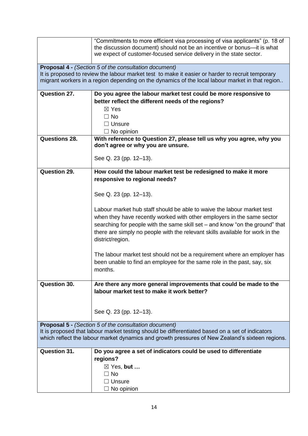|                                                                                                                                                                                                                                                                     | "Commitments to more efficient visa processing of visa applicants" (p. 18 of<br>the discussion document) should not be an incentive or bonus-it is what<br>we expect of customer-focused service delivery in the state sector. |  |
|---------------------------------------------------------------------------------------------------------------------------------------------------------------------------------------------------------------------------------------------------------------------|--------------------------------------------------------------------------------------------------------------------------------------------------------------------------------------------------------------------------------|--|
| <b>Proposal 4 - (Section 5 of the consultation document)</b><br>It is proposed to review the labour market test to make it easier or harder to recruit temporary<br>migrant workers in a region depending on the dynamics of the local labour market in that region |                                                                                                                                                                                                                                |  |
| Question 27.                                                                                                                                                                                                                                                        | Do you agree the labour market test could be more responsive to                                                                                                                                                                |  |
|                                                                                                                                                                                                                                                                     | better reflect the different needs of the regions?                                                                                                                                                                             |  |
|                                                                                                                                                                                                                                                                     | $\boxtimes$ Yes                                                                                                                                                                                                                |  |
|                                                                                                                                                                                                                                                                     | $\Box$ No                                                                                                                                                                                                                      |  |
|                                                                                                                                                                                                                                                                     | $\Box$ Unsure                                                                                                                                                                                                                  |  |
|                                                                                                                                                                                                                                                                     | $\Box$ No opinion                                                                                                                                                                                                              |  |
| <b>Questions 28.</b>                                                                                                                                                                                                                                                | With reference to Question 27, please tell us why you agree, why you<br>don't agree or why you are unsure.                                                                                                                     |  |
|                                                                                                                                                                                                                                                                     | See Q. 23 (pp. 12–13).                                                                                                                                                                                                         |  |
| <b>Question 29.</b>                                                                                                                                                                                                                                                 | How could the labour market test be redesigned to make it more                                                                                                                                                                 |  |
|                                                                                                                                                                                                                                                                     | responsive to regional needs?                                                                                                                                                                                                  |  |
|                                                                                                                                                                                                                                                                     | See Q. 23 (pp. 12–13).                                                                                                                                                                                                         |  |
|                                                                                                                                                                                                                                                                     |                                                                                                                                                                                                                                |  |
|                                                                                                                                                                                                                                                                     | Labour market hub staff should be able to waive the labour market test                                                                                                                                                         |  |
|                                                                                                                                                                                                                                                                     | when they have recently worked with other employers in the same sector                                                                                                                                                         |  |
|                                                                                                                                                                                                                                                                     | searching for people with the same skill set - and know "on the ground" that                                                                                                                                                   |  |
|                                                                                                                                                                                                                                                                     | there are simply no people with the relevant skills available for work in the<br>district/region.                                                                                                                              |  |
|                                                                                                                                                                                                                                                                     |                                                                                                                                                                                                                                |  |
|                                                                                                                                                                                                                                                                     | The labour market test should not be a requirement where an employer has                                                                                                                                                       |  |
|                                                                                                                                                                                                                                                                     | been unable to find an employee for the same role in the past, say, six                                                                                                                                                        |  |
|                                                                                                                                                                                                                                                                     | months.                                                                                                                                                                                                                        |  |
| <b>Question 30.</b>                                                                                                                                                                                                                                                 | Are there any more general improvements that could be made to the                                                                                                                                                              |  |
|                                                                                                                                                                                                                                                                     | labour market test to make it work better?                                                                                                                                                                                     |  |
|                                                                                                                                                                                                                                                                     |                                                                                                                                                                                                                                |  |
|                                                                                                                                                                                                                                                                     |                                                                                                                                                                                                                                |  |
|                                                                                                                                                                                                                                                                     | See Q. 23 (pp. 12–13).                                                                                                                                                                                                         |  |
|                                                                                                                                                                                                                                                                     | <b>Proposal 5 - (Section 5 of the consultation document)</b>                                                                                                                                                                   |  |
|                                                                                                                                                                                                                                                                     | It is proposed that labour market testing should be differentiated based on a set of indicators                                                                                                                                |  |
|                                                                                                                                                                                                                                                                     | which reflect the labour market dynamics and growth pressures of New Zealand's sixteen regions.                                                                                                                                |  |
|                                                                                                                                                                                                                                                                     |                                                                                                                                                                                                                                |  |
| <b>Question 31.</b>                                                                                                                                                                                                                                                 | Do you agree a set of indicators could be used to differentiate                                                                                                                                                                |  |
|                                                                                                                                                                                                                                                                     | regions?                                                                                                                                                                                                                       |  |
|                                                                                                                                                                                                                                                                     | $\boxtimes$ Yes, but                                                                                                                                                                                                           |  |
|                                                                                                                                                                                                                                                                     | $\Box$ No                                                                                                                                                                                                                      |  |
|                                                                                                                                                                                                                                                                     | $\Box$ Unsure                                                                                                                                                                                                                  |  |
|                                                                                                                                                                                                                                                                     | $\Box$ No opinion                                                                                                                                                                                                              |  |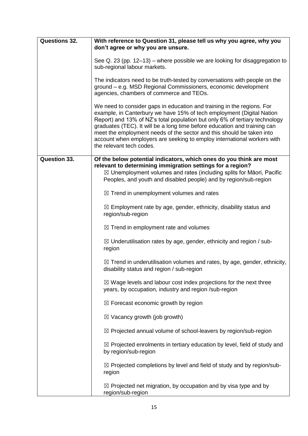| <b>Questions 32.</b> | With reference to Question 31, please tell us why you agree, why you<br>don't agree or why you are unsure.                                                                                                                                                                                                                                                                                                                                                                                  |
|----------------------|---------------------------------------------------------------------------------------------------------------------------------------------------------------------------------------------------------------------------------------------------------------------------------------------------------------------------------------------------------------------------------------------------------------------------------------------------------------------------------------------|
|                      | See Q. 23 (pp. 12–13) – where possible we are looking for disaggregation to<br>sub-regional labour markets.                                                                                                                                                                                                                                                                                                                                                                                 |
|                      | The indicators need to be truth-tested by conversations with people on the<br>ground - e.g. MSD Regional Commissioners, economic development<br>agencies, chambers of commerce and TEOs.                                                                                                                                                                                                                                                                                                    |
|                      | We need to consider gaps in education and training in the regions. For<br>example, in Canterbury we have 15% of tech employment (Digital Nation<br>Report) and 13% of NZ's total population but only 6% of tertiary technology<br>graduates (TEC). It will be a long time before education and training can<br>meet the employment needs of the sector and this should be taken into<br>account when employers are seeking to employ international workers with<br>the relevant tech codes. |
| <b>Question 33.</b>  | Of the below potential indicators, which ones do you think are most<br>relevant to determining immigration settings for a region?<br>$\boxtimes$ Unemployment volumes and rates (including splits for Māori, Pacific<br>Peoples, and youth and disabled people) and by region/sub-region                                                                                                                                                                                                    |
|                      | $\boxtimes$ Trend in unemployment volumes and rates                                                                                                                                                                                                                                                                                                                                                                                                                                         |
|                      | $\boxtimes$ Employment rate by age, gender, ethnicity, disability status and<br>region/sub-region                                                                                                                                                                                                                                                                                                                                                                                           |
|                      | $\boxtimes$ Trend in employment rate and volumes                                                                                                                                                                                                                                                                                                                                                                                                                                            |
|                      | $\boxtimes$ Underutilisation rates by age, gender, ethnicity and region / sub-<br>region                                                                                                                                                                                                                                                                                                                                                                                                    |
|                      | $\boxtimes$ Trend in underutilisation volumes and rates, by age, gender, ethnicity,<br>disability status and region / sub-region                                                                                                                                                                                                                                                                                                                                                            |
|                      | $\boxtimes$ Wage levels and labour cost index projections for the next three<br>years, by occupation, industry and region /sub-region                                                                                                                                                                                                                                                                                                                                                       |
|                      | $\boxtimes$ Forecast economic growth by region                                                                                                                                                                                                                                                                                                                                                                                                                                              |
|                      | $\boxtimes$ Vacancy growth (job growth)                                                                                                                                                                                                                                                                                                                                                                                                                                                     |
|                      | ⊠ Projected annual volume of school-leavers by region/sub-region                                                                                                                                                                                                                                                                                                                                                                                                                            |
|                      | $\boxtimes$ Projected enrolments in tertiary education by level, field of study and<br>by region/sub-region                                                                                                                                                                                                                                                                                                                                                                                 |
|                      | $\boxtimes$ Projected completions by level and field of study and by region/sub-<br>region                                                                                                                                                                                                                                                                                                                                                                                                  |
|                      | $\boxtimes$ Projected net migration, by occupation and by visa type and by<br>region/sub-region                                                                                                                                                                                                                                                                                                                                                                                             |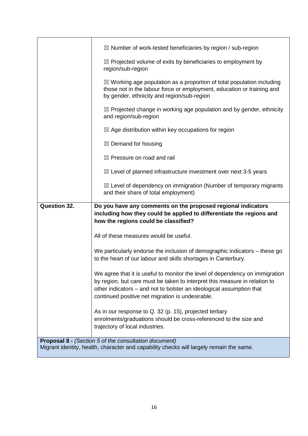|                     | $\boxtimes$ Number of work-tested beneficiaries by region / sub-region                                                                                                                                                                                                                 |
|---------------------|----------------------------------------------------------------------------------------------------------------------------------------------------------------------------------------------------------------------------------------------------------------------------------------|
|                     | $\boxtimes$ Projected volume of exits by beneficiaries to employment by<br>region/sub-region                                                                                                                                                                                           |
|                     | $\boxtimes$ Working age population as a proportion of total population including<br>those not in the labour force or employment, education or training and<br>by gender, ethnicity and region/sub-region                                                                               |
|                     | $\boxtimes$ Projected change in working age population and by gender, ethnicity<br>and region/sub-region                                                                                                                                                                               |
|                     | $\boxtimes$ Age distribution within key occupations for region                                                                                                                                                                                                                         |
|                     | $\boxtimes$ Demand for housing                                                                                                                                                                                                                                                         |
|                     | $\boxtimes$ Pressure on road and rail                                                                                                                                                                                                                                                  |
|                     | $\boxtimes$ Level of planned infrastructure investment over next 3-5 years                                                                                                                                                                                                             |
|                     | $\boxtimes$ Level of dependency on immigration (Number of temporary migrants<br>and their share of total employment)                                                                                                                                                                   |
|                     |                                                                                                                                                                                                                                                                                        |
| <b>Question 32.</b> | Do you have any comments on the proposed regional indicators<br>including how they could be applied to differentiate the regions and                                                                                                                                                   |
|                     | how the regions could be classified?                                                                                                                                                                                                                                                   |
|                     | All of these measures would be useful.                                                                                                                                                                                                                                                 |
|                     | We particularly endorse the inclusion of demographic indicators – these go<br>to the heart of our labour and skills shortages in Canterbury.                                                                                                                                           |
|                     | We agree that it is useful to monitor the level of dependency on immigration<br>by region, but care must be taken to interpret this measure in relation to<br>other indicators - and not to bolster an ideological assumption that<br>continued positive net migration is undesirable. |
|                     | As in our response to Q. 32 (p. 15), projected tertiary<br>enrolments/graduations should be cross-referenced to the size and<br>trajectory of local industries.                                                                                                                        |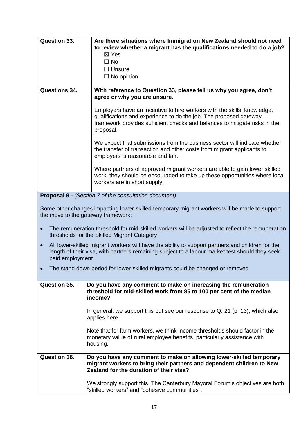| <b>Question 33.</b>          | Are there situations where Immigration New Zealand should not need<br>to review whether a migrant has the qualifications needed to do a job?<br>$\boxtimes$ Yes<br>$\Box$ No<br>$\Box$ Unsure<br>$\Box$ No opinion                      |
|------------------------------|-----------------------------------------------------------------------------------------------------------------------------------------------------------------------------------------------------------------------------------------|
| <b>Questions 34.</b>         | With reference to Question 33, please tell us why you agree, don't<br>agree or why you are unsure.                                                                                                                                      |
|                              | Employers have an incentive to hire workers with the skills, knowledge,<br>qualifications and experience to do the job. The proposed gateway<br>framework provides sufficient checks and balances to mitigate risks in the<br>proposal. |
|                              | We expect that submissions from the business sector will indicate whether<br>the transfer of transaction and other costs from migrant applicants to<br>employers is reasonable and fair.                                                |
|                              | Where partners of approved migrant workers are able to gain lower skilled<br>work, they should be encouraged to take up these opportunities where local<br>workers are in short supply.                                                 |
|                              | <b>Proposal 9 - (Section 7 of the consultation document)</b>                                                                                                                                                                            |
|                              | Some other changes impacting lower-skilled temporary migrant workers will be made to support<br>the move to the gateway framework:                                                                                                      |
|                              | The remuneration threshold for mid-skilled workers will be adjusted to reflect the remuneration<br>thresholds for the Skilled Migrant Category                                                                                          |
| $\bullet$<br>paid employment | All lower-skilled migrant workers will have the ability to support partners and children for the<br>length of their visa, with partners remaining subject to a labour market test should they seek                                      |
|                              | The stand down period for lower-skilled migrants could be changed or removed                                                                                                                                                            |
| <b>Question 35.</b>          | Do you have any comment to make on increasing the remuneration<br>threshold for mid-skilled work from 85 to 100 per cent of the median<br>income?                                                                                       |
|                              | In general, we support this but see our response to $Q$ . 21 (p, 13), which also<br>applies here.                                                                                                                                       |
|                              | Note that for farm workers, we think income thresholds should factor in the<br>monetary value of rural employee benefits, particularly assistance with<br>housing.                                                                      |
| Question 36.                 | Do you have any comment to make on allowing lower-skilled temporary<br>migrant workers to bring their partners and dependent children to New<br>Zealand for the duration of their visa?                                                 |
|                              | We strongly support this. The Canterbury Mayoral Forum's objectives are both<br>"skilled workers" and "cohesive communities".                                                                                                           |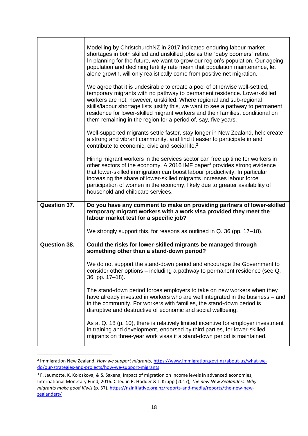|                     | Modelling by ChristchurchNZ in 2017 indicated enduring labour market<br>shortages in both skilled and unskilled jobs as the "baby boomers" retire.<br>In planning for the future, we want to grow our region's population. Our ageing<br>population and declining fertility rate mean that population maintenance, let<br>alone growth, will only realistically come from positive net migration.                                                                       |
|---------------------|-------------------------------------------------------------------------------------------------------------------------------------------------------------------------------------------------------------------------------------------------------------------------------------------------------------------------------------------------------------------------------------------------------------------------------------------------------------------------|
|                     | We agree that it is undesirable to create a pool of otherwise well-settled,<br>temporary migrants with no pathway to permanent residence. Lower-skilled<br>workers are not, however, unskilled. Where regional and sub-regional<br>skills/labour shortage lists justify this, we want to see a pathway to permanent<br>residence for lower-skilled migrant workers and their families, conditional on<br>them remaining in the region for a period of, say, five years. |
|                     | Well-supported migrants settle faster, stay longer in New Zealand, help create<br>a strong and vibrant community, and find it easier to participate in and<br>contribute to economic, civic and social life. <sup>2</sup>                                                                                                                                                                                                                                               |
|                     | Hiring migrant workers in the services sector can free up time for workers in<br>other sectors of the economy. A 2016 IMF paper <sup>3</sup> provides strong evidence<br>that lower-skilled immigration can boost labour productivity. In particular,<br>increasing the share of lower-skilled migrants increases labour force<br>participation of women in the economy, likely due to greater availability of<br>household and childcare services.                     |
| <b>Question 37.</b> | Do you have any comment to make on providing partners of lower-skilled                                                                                                                                                                                                                                                                                                                                                                                                  |
|                     | temporary migrant workers with a work visa provided they meet the<br>labour market test for a specific job?                                                                                                                                                                                                                                                                                                                                                             |
|                     | We strongly support this, for reasons as outlined in Q. 36 (pp. 17–18).                                                                                                                                                                                                                                                                                                                                                                                                 |
| <b>Question 38.</b> | Could the risks for lower-skilled migrants be managed through<br>something other than a stand-down period?                                                                                                                                                                                                                                                                                                                                                              |
|                     | We do not support the stand-down period and encourage the Government to<br>consider other options - including a pathway to permanent residence (see Q.<br>36, pp. 17-18).                                                                                                                                                                                                                                                                                               |
|                     | The stand-down period forces employers to take on new workers when they<br>have already invested in workers who are well integrated in the business – and<br>in the community. For workers with families, the stand-down period is<br>disruptive and destructive of economic and social wellbeing.                                                                                                                                                                      |

<sup>2</sup> Immigration New Zealand, *How we support migrants*, [https://www.immigration.govt.nz/about-us/what-we](https://www.immigration.govt.nz/about-us/what-we-do/our-strategies-and-projects/how-we-support-migrants)[do/our-strategies-and-projects/how-we-support-migrants](https://www.immigration.govt.nz/about-us/what-we-do/our-strategies-and-projects/how-we-support-migrants)

**.** 

<sup>&</sup>lt;sup>3</sup> F. Jaumotte, K. Koloskova, & S. Saxena, Impact of migration on income levels in advanced economies, International Monetary Fund, 2016. Cited in R. Hodder & J. Krupp (2017), *The new New Zealanders: Why migrants make good Kiwis* (p. 37), [https://nzinitiative.org.nz/reports-and-media/reports/the-new-new](https://nzinitiative.org.nz/reports-and-media/reports/the-new-new-zealanders/)[zealanders/](https://nzinitiative.org.nz/reports-and-media/reports/the-new-new-zealanders/)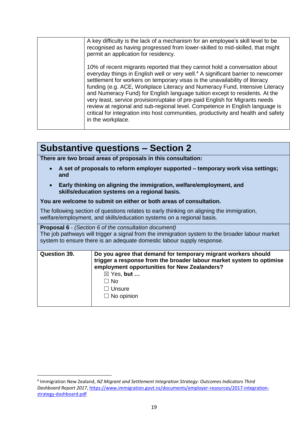| A key difficulty is the lack of a mechanism for an employee's skill level to be<br>recognised as having progressed from lower-skilled to mid-skilled, that might<br>permit an application for residency.                                                                                                                                                                                                                                                                                                                                                                                                                                                                                          |
|---------------------------------------------------------------------------------------------------------------------------------------------------------------------------------------------------------------------------------------------------------------------------------------------------------------------------------------------------------------------------------------------------------------------------------------------------------------------------------------------------------------------------------------------------------------------------------------------------------------------------------------------------------------------------------------------------|
| 10% of recent migrants reported that they cannot hold a conversation about<br>everyday things in English well or very well. <sup>4</sup> A significant barrier to newcomer<br>settlement for workers on temporary visas is the unavailability of literacy<br>funding (e.g. ACE, Workplace Literacy and Numeracy Fund, Intensive Literacy<br>and Numeracy Fund) for English language tuition except to residents. At the<br>very least, service provision/uptake of pre-paid English for Migrants needs<br>review at regional and sub-regional level. Competence in English language is<br>critical for integration into host communities, productivity and health and safety<br>in the workplace. |

## **Substantive questions – Section 2**

**There are two broad areas of proposals in this consultation:**

- **A set of proposals to reform employer supported – temporary work visa settings; and**
- **Early thinking on aligning the immigration, welfare/employment, and skills/education systems on a regional basis.**

### **You are welcome to submit on either or both areas of consultation.**

The following section of questions relates to early thinking on aligning the immigration, welfare/employment, and skills/education systems on a regional basis.

**Proposal 6** - *(Section 6 of the consultation document)* The job pathways will trigger a signal from the immigration system to the broader labour market system to ensure there is an adequate domestic labour supply response.

| <b>Question 39.</b> | Do you agree that demand for temporary migrant workers should<br>trigger a response from the broader labour market system to optimise<br>employment opportunities for New Zealanders? |
|---------------------|---------------------------------------------------------------------------------------------------------------------------------------------------------------------------------------|
|                     | $\boxtimes$ Yes, but                                                                                                                                                                  |
|                     | ⊟ No                                                                                                                                                                                  |
|                     | $\Box$ Unsure                                                                                                                                                                         |
|                     | $\Box$ No opinion                                                                                                                                                                     |
|                     |                                                                                                                                                                                       |

**.** 

<sup>4</sup> Immigration New Zealand, *NZ Migrant and Settlement Integration Strategy: Outcomes Indicators Third Dashboard Report 2017*, [https://www.immigration.govt.nz/documents/employer-resources/2017-integration](https://www.immigration.govt.nz/documents/employer-resources/2017-integration-strategy-dashboard.pdf)[strategy-dashboard.pdf](https://www.immigration.govt.nz/documents/employer-resources/2017-integration-strategy-dashboard.pdf)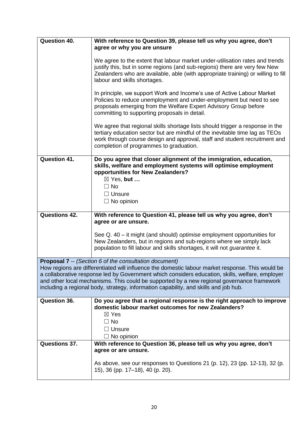| Question 40.         | With reference to Question 39, please tell us why you agree, don't                                                                                                                                                                                                                                                                                                                        |
|----------------------|-------------------------------------------------------------------------------------------------------------------------------------------------------------------------------------------------------------------------------------------------------------------------------------------------------------------------------------------------------------------------------------------|
|                      | agree or why you are unsure                                                                                                                                                                                                                                                                                                                                                               |
|                      | We agree to the extent that labour market under-utilisation rates and trends<br>justify this, but in some regions (and sub-regions) there are very few New<br>Zealanders who are available, able (with appropriate training) or willing to fill<br>labour and skills shortages.                                                                                                           |
|                      | In principle, we support Work and Income's use of Active Labour Market<br>Policies to reduce unemployment and under-employment but need to see<br>proposals emerging from the Welfare Expert Advisory Group before<br>committing to supporting proposals in detail.                                                                                                                       |
|                      | We agree that regional skills shortage lists should trigger a response in the<br>tertiary education sector but are mindful of the inevitable time lag as TEOs<br>work through course design and approval, staff and student recruitment and<br>completion of programmes to graduation.                                                                                                    |
| <b>Question 41.</b>  | Do you agree that closer alignment of the immigration, education,<br>skills, welfare and employment systems will optimise employment<br>opportunities for New Zealanders?                                                                                                                                                                                                                 |
|                      | ⊠ Yes, but<br>$\Box$ No                                                                                                                                                                                                                                                                                                                                                                   |
|                      | $\Box$ Unsure                                                                                                                                                                                                                                                                                                                                                                             |
|                      | $\Box$ No opinion                                                                                                                                                                                                                                                                                                                                                                         |
| <b>Questions 42.</b> | With reference to Question 41, please tell us why you agree, don't                                                                                                                                                                                                                                                                                                                        |
|                      | agree or are unsure.                                                                                                                                                                                                                                                                                                                                                                      |
|                      | See Q. 40 – it might (and should) optimise employment opportunities for<br>New Zealanders, but in regions and sub-regions where we simply lack<br>population to fill labour and skills shortages, it will not <i>quarantee</i> it.                                                                                                                                                        |
|                      | <b>Proposal 7 -- (Section 6 of the consultation document)</b>                                                                                                                                                                                                                                                                                                                             |
|                      | How regions are differentiated will influence the domestic labour market response. This would be<br>a collaborative response led by Government which considers education, skills, welfare, employer<br>and other local mechanisms. This could be supported by a new regional governance framework<br>including a regional body, strategy, information capability, and skills and job hub. |
| Question 36.         | Do you agree that a regional response is the right approach to improve<br>domestic labour market outcomes for new Zealanders?                                                                                                                                                                                                                                                             |
|                      | $\boxtimes$ Yes                                                                                                                                                                                                                                                                                                                                                                           |
|                      | $\Box$ No<br>$\Box$ Unsure                                                                                                                                                                                                                                                                                                                                                                |
|                      | $\Box$ No opinion                                                                                                                                                                                                                                                                                                                                                                         |
| <b>Questions 37.</b> | With reference to Question 36, please tell us why you agree, don't<br>agree or are unsure.                                                                                                                                                                                                                                                                                                |
|                      | As above, see our responses to Questions 21 (p. 12), 23 (pp. 12-13), 32 (p.<br>15), 36 (pp. 17–18), 40 (p. 20).                                                                                                                                                                                                                                                                           |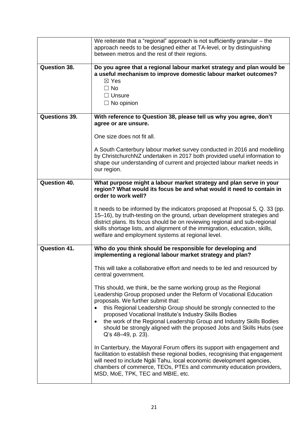|               | We reiterate that a "regional" approach is not sufficiently granular $-$ the<br>approach needs to be designed either at TA-level, or by distinguishing<br>between metros and the rest of their regions.                                                                                                                                                                    |
|---------------|----------------------------------------------------------------------------------------------------------------------------------------------------------------------------------------------------------------------------------------------------------------------------------------------------------------------------------------------------------------------------|
| Question 38.  | Do you agree that a regional labour market strategy and plan would be<br>a useful mechanism to improve domestic labour market outcomes?<br>$\boxtimes$ Yes<br>$\Box$ No<br>$\Box$ Unsure<br>$\Box$ No opinion                                                                                                                                                              |
| Questions 39. | With reference to Question 38, please tell us why you agree, don't<br>agree or are unsure.                                                                                                                                                                                                                                                                                 |
|               | One size does not fit all.                                                                                                                                                                                                                                                                                                                                                 |
|               | A South Canterbury labour market survey conducted in 2016 and modelling<br>by ChristchurchNZ undertaken in 2017 both provided useful information to<br>shape our understanding of current and projected labour market needs in<br>our region.                                                                                                                              |
| Question 40.  | What purpose might a labour market strategy and plan serve in your<br>region? What would its focus be and what would it need to contain in<br>order to work well?                                                                                                                                                                                                          |
|               | It needs to be informed by the indicators proposed at Proposal 5, Q. 33 (pp.<br>15-16), by truth-testing on the ground, urban development strategies and<br>district plans. Its focus should be on reviewing regional and sub-regional<br>skills shortage lists, and alignment of the immigration, education, skills,<br>welfare and employment systems at regional level. |
| Question 41.  | Who do you think should be responsible for developing and<br>implementing a regional labour market strategy and plan?                                                                                                                                                                                                                                                      |
|               | This will take a collaborative effort and needs to be led and resourced by<br>central government.                                                                                                                                                                                                                                                                          |
|               | This should, we think, be the same working group as the Regional<br>Leadership Group proposed under the Reform of Vocational Education<br>proposals. We further submit that:                                                                                                                                                                                               |
|               | this Regional Leadership Group should be strongly connected to the<br>proposed Vocational Institute's Industry Skills Bodies                                                                                                                                                                                                                                               |
|               | the work of the Regional Leadership Group and Industry Skills Bodies<br>should be strongly aligned with the proposed Jobs and Skills Hubs (see<br>Q's 48-49, p. 23).                                                                                                                                                                                                       |
|               | In Canterbury, the Mayoral Forum offers its support with engagement and<br>facilitation to establish these regional bodies, recognising that engagement<br>will need to include Ngai Tahu, local economic development agencies,<br>chambers of commerce, TEOs, PTEs and community education providers,<br>MSD, MoE, TPK, TEC and MBIE, etc.                                |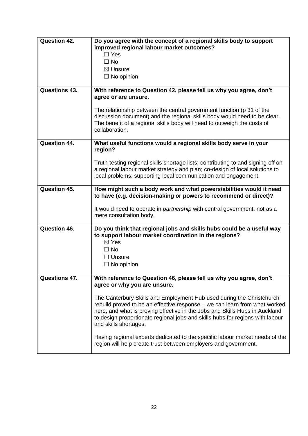| Question 42.         | Do you agree with the concept of a regional skills body to support                                                                                                                                                                                                                                                                           |
|----------------------|----------------------------------------------------------------------------------------------------------------------------------------------------------------------------------------------------------------------------------------------------------------------------------------------------------------------------------------------|
|                      | improved regional labour market outcomes?                                                                                                                                                                                                                                                                                                    |
|                      | $\Box$ Yes<br>$\Box$ No                                                                                                                                                                                                                                                                                                                      |
|                      | $\boxtimes$ Unsure                                                                                                                                                                                                                                                                                                                           |
|                      | $\Box$ No opinion                                                                                                                                                                                                                                                                                                                            |
|                      |                                                                                                                                                                                                                                                                                                                                              |
| Questions 43.        | With reference to Question 42, please tell us why you agree, don't<br>agree or are unsure.                                                                                                                                                                                                                                                   |
|                      | The relationship between the central government function (p 31 of the<br>discussion document) and the regional skills body would need to be clear.<br>The benefit of a regional skills body will need to outweigh the costs of<br>collaboration.                                                                                             |
| Question 44.         | What useful functions would a regional skills body serve in your<br>region?                                                                                                                                                                                                                                                                  |
|                      | Truth-testing regional skills shortage lists; contributing to and signing off on<br>a regional labour market strategy and plan; co-design of local solutions to<br>local problems; supporting local communication and engagement.                                                                                                            |
| Question 45.         | How might such a body work and what powers/abilities would it need<br>to have (e.g. decision-making or powers to recommend or direct)?                                                                                                                                                                                                       |
|                      | It would need to operate in <i>partnership</i> with central government, not as a<br>mere consultation body.                                                                                                                                                                                                                                  |
| <b>Question 46.</b>  | Do you think that regional jobs and skills hubs could be a useful way<br>to support labour market coordination in the regions?<br>$\boxtimes$ Yes                                                                                                                                                                                            |
|                      | $\Box$ No                                                                                                                                                                                                                                                                                                                                    |
|                      | $\Box$ Unsure                                                                                                                                                                                                                                                                                                                                |
|                      | $\Box$ No opinion                                                                                                                                                                                                                                                                                                                            |
|                      |                                                                                                                                                                                                                                                                                                                                              |
| <b>Questions 47.</b> | With reference to Question 46, please tell us why you agree, don't<br>agree or why you are unsure.                                                                                                                                                                                                                                           |
|                      | The Canterbury Skills and Employment Hub used during the Christchurch<br>rebuild proved to be an effective response - we can learn from what worked<br>here, and what is proving effective in the Jobs and Skills Hubs in Auckland<br>to design proportionate regional jobs and skills hubs for regions with labour<br>and skills shortages. |
|                      | Having regional experts dedicated to the specific labour market needs of the<br>region will help create trust between employers and government.                                                                                                                                                                                              |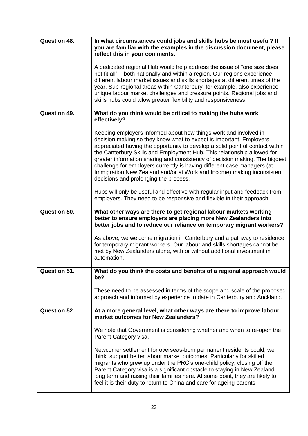| <b>Question 48.</b> | In what circumstances could jobs and skills hubs be most useful? If<br>you are familiar with the examples in the discussion document, please<br>reflect this in your comments.                                                                                                                                                                                                                                                                                                                                                                                                   |
|---------------------|----------------------------------------------------------------------------------------------------------------------------------------------------------------------------------------------------------------------------------------------------------------------------------------------------------------------------------------------------------------------------------------------------------------------------------------------------------------------------------------------------------------------------------------------------------------------------------|
|                     | A dedicated regional Hub would help address the issue of "one size does<br>not fit all" – both nationally and within a region. Our regions experience<br>different labour market issues and skills shortages at different times of the<br>year. Sub-regional areas within Canterbury, for example, also experience<br>unique labour market challenges and pressure points. Regional jobs and<br>skills hubs could allow greater flexibility and responsiveness.                                                                                                                  |
| <b>Question 49.</b> | What do you think would be critical to making the hubs work<br>effectively?                                                                                                                                                                                                                                                                                                                                                                                                                                                                                                      |
|                     | Keeping employers informed about how things work and involved in<br>decision making so they know what to expect is important. Employers<br>appreciated having the opportunity to develop a solid point of contact within<br>the Canterbury Skills and Employment Hub. This relationship allowed for<br>greater information sharing and consistency of decision making. The biggest<br>challenge for employers currently is having different case managers (at<br>Immigration New Zealand and/or at Work and Income) making inconsistent<br>decisions and prolonging the process. |
|                     | Hubs will only be useful and effective with regular input and feedback from<br>employers. They need to be responsive and flexible in their approach.                                                                                                                                                                                                                                                                                                                                                                                                                             |
| <b>Question 50.</b> | What other ways are there to get regional labour markets working<br>better to ensure employers are placing more New Zealanders into<br>better jobs and to reduce our reliance on temporary migrant workers?                                                                                                                                                                                                                                                                                                                                                                      |
|                     | As above, we welcome migration in Canterbury and a pathway to residence<br>for temporary migrant workers. Our labour and skills shortages cannot be<br>met by New Zealanders alone, with or without additional investment in<br>automation.                                                                                                                                                                                                                                                                                                                                      |
| <b>Question 51.</b> | What do you think the costs and benefits of a regional approach would<br>be?                                                                                                                                                                                                                                                                                                                                                                                                                                                                                                     |
|                     | These need to be assessed in terms of the scope and scale of the proposed<br>approach and informed by experience to date in Canterbury and Auckland.                                                                                                                                                                                                                                                                                                                                                                                                                             |
| <b>Question 52.</b> | At a more general level, what other ways are there to improve labour<br>market outcomes for New Zealanders?                                                                                                                                                                                                                                                                                                                                                                                                                                                                      |
|                     | We note that Government is considering whether and when to re-open the<br>Parent Category visa.                                                                                                                                                                                                                                                                                                                                                                                                                                                                                  |
|                     | Newcomer settlement for overseas-born permanent residents could, we<br>think, support better labour market outcomes. Particularly for skilled<br>migrants who grew up under the PRC's one-child policy, closing off the<br>Parent Category visa is a significant obstacle to staying in New Zealand<br>long term and raising their families here. At some point, they are likely to<br>feel it is their duty to return to China and care for ageing parents.                                                                                                                     |